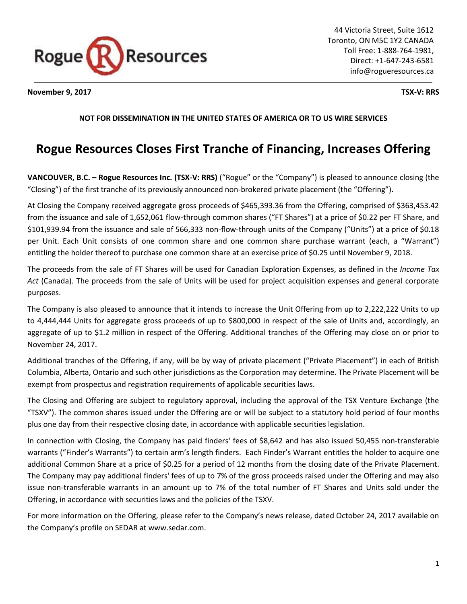

**November 9, 2017 TSX-V: RRS**

# **NOT FOR DISSEMINATION IN THE UNITED STATES OF AMERICA OR TO US WIRE SERVICES**

# **Rogue Resources Closes First Tranche of Financing, Increases Offering**

**VANCOUVER, B.C. – Rogue Resources Inc. (TSX-V: RRS)** ("Rogue" or the "Company") is pleased to announce closing (the "Closing") of the first tranche of its previously announced non-brokered private placement (the "Offering").

At Closing the Company received aggregate gross proceeds of \$465,393.36 from the Offering, comprised of \$363,453.42 from the issuance and sale of 1,652,061 flow-through common shares ("FT Shares") at a price of \$0.22 per FT Share, and \$101,939.94 from the issuance and sale of 566,333 non-flow-through units of the Company ("Units") at a price of \$0.18 per Unit. Each Unit consists of one common share and one common share purchase warrant (each, a "Warrant") entitling the holder thereof to purchase one common share at an exercise price of \$0.25 until November 9, 2018.

The proceeds from the sale of FT Shares will be used for Canadian Exploration Expenses, as defined in the *Income Tax Act* (Canada). The proceeds from the sale of Units will be used for project acquisition expenses and general corporate purposes.

The Company is also pleased to announce that it intends to increase the Unit Offering from up to 2,222,222 Units to up to 4,444,444 Units for aggregate gross proceeds of up to \$800,000 in respect of the sale of Units and, accordingly, an aggregate of up to \$1.2 million in respect of the Offering. Additional tranches of the Offering may close on or prior to November 24, 2017.

Additional tranches of the Offering, if any, will be by way of private placement ("Private Placement") in each of British Columbia, Alberta, Ontario and such other jurisdictions as the Corporation may determine. The Private Placement will be exempt from prospectus and registration requirements of applicable securities laws.

The Closing and Offering are subject to regulatory approval, including the approval of the TSX Venture Exchange (the "TSXV"). The common shares issued under the Offering are or will be subject to a statutory hold period of four months plus one day from their respective closing date, in accordance with applicable securities legislation.

In connection with Closing, the Company has paid finders' fees of \$8,642 and has also issued 50,455 non-transferable warrants ("Finder's Warrants") to certain arm's length finders. Each Finder's Warrant entitles the holder to acquire one additional Common Share at a price of \$0.25 for a period of 12 months from the closing date of the Private Placement. The Company may pay additional finders' fees of up to 7% of the gross proceeds raised under the Offering and may also issue non-transferable warrants in an amount up to 7% of the total number of FT Shares and Units sold under the Offering, in accordance with securities laws and the policies of the TSXV.

For more information on the Offering, please refer to the Company's news release, dated October 24, 2017 available on the Company's profile on SEDAR at www.sedar.com.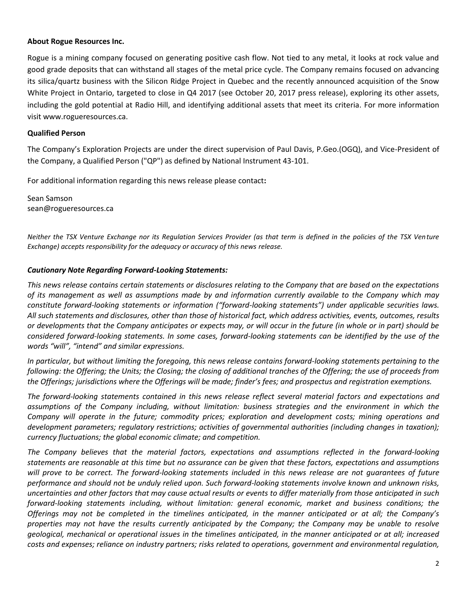#### **About Rogue Resources Inc.**

Rogue is a mining company focused on generating positive cash flow. Not tied to any metal, it looks at rock value and good grade deposits that can withstand all stages of the metal price cycle. The Company remains focused on advancing its silica/quartz business with the Silicon Ridge Project in Quebec and the recently announced acquisition of the Snow White Project in Ontario, targeted to close in Q4 2017 (see October 20, 2017 press release), exploring its other assets, including the gold potential at Radio Hill, and identifying additional assets that meet its criteria. For more information visit www.rogueresources.ca.

### **Qualified Person**

The Company's Exploration Projects are under the direct supervision of Paul Davis, P.Geo.(OGQ), and Vice-President of the Company, a Qualified Person ("QP") as defined by National Instrument 43-101.

For additional information regarding this news release please contact**:**

Sean Samson sean@rogueresources.ca

*Neither the TSX Venture Exchange nor its Regulation Services Provider (as that term is defined in the policies of the TSX Venture Exchange) accepts responsibility for the adequacy or accuracy of this news release.*

## *Cautionary Note Regarding Forward-Looking Statements:*

*This news release contains certain statements or disclosures relating to the Company that are based on the expectations of its management as well as assumptions made by and information currently available to the Company which may constitute forward-looking statements or information ("forward-looking statements") under applicable securities laws. All such statements and disclosures, other than those of historical fact, which address activities, events, outcomes, results or developments that the Company anticipates or expects may, or will occur in the future (in whole or in part) should be considered forward-looking statements. In some cases, forward-looking statements can be identified by the use of the words "will", "intend" and similar expressions.*

*In particular, but without limiting the foregoing, this news release contains forward-looking statements pertaining to the following: the Offering; the Units; the Closing; the closing of additional tranches of the Offering; the use of proceeds from the Offerings; jurisdictions where the Offerings will be made; finder's fees; and prospectus and registration exemptions.*

*The forward-looking statements contained in this news release reflect several material factors and expectations and assumptions of the Company including, without limitation: business strategies and the environment in which the Company will operate in the future; commodity prices; exploration and development costs; mining operations and development parameters; regulatory restrictions; activities of governmental authorities (including changes in taxation); currency fluctuations; the global economic climate; and competition.*

*The Company believes that the material factors, expectations and assumptions reflected in the forward-looking statements are reasonable at this time but no assurance can be given that these factors, expectations and assumptions will prove to be correct. The forward-looking statements included in this news release are not guarantees of future performance and should not be unduly relied upon. Such forward-looking statements involve known and unknown risks, uncertainties and other factors that may cause actual results or events to differ materially from those anticipated in such forward-looking statements including, without limitation: general economic, market and business conditions; the Offerings may not be completed in the timelines anticipated, in the manner anticipated or at all; the Company's properties may not have the results currently anticipated by the Company; the Company may be unable to resolve geological, mechanical or operational issues in the timelines anticipated, in the manner anticipated or at all; increased costs and expenses; reliance on industry partners; risks related to operations, government and environmental regulation,*